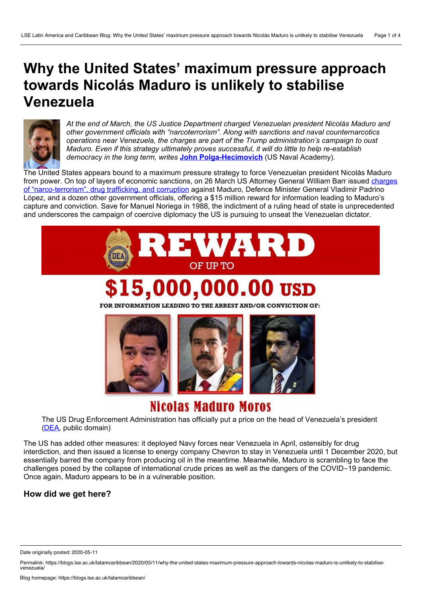# **Why the United States' maximum pressure approach towards Nicolás Maduro is unlikely to stabilise Venezuela**



*At the end of March, the US Justice Department charged Venezuelan president Nicolás Maduro and other government officials with "narcoterrorism". Along with sanctions and naval counternarcotics operations near Venezuela, the charges are part of the Trump administration's campaign to oust Maduro. Even if this strategy ultimately proves successful, it will do little to help re-establish democracy in the long term, writes* **John [Polga-Hecimovich](#page-3-0)** (US Naval Academy)*.*

The United States appears bound to a maximum pressure strategy to force Venezuelan president Nicolás Maduro from power. On top of layers of economic sanctions, on 26 March US Attorney General William Barr issued charges of ["narco-terrorism",](https://www.justice.gov/opa/pr/nicol-s-maduro-moros-and-14-current-and-former-venezuelan-officials-charged-narco-terrorism) drug trafficking, and corruption against Maduro, Defence Minister General Vladimir Padrino López, and a dozen other government officials, offering a \$15 million reward for information leading to Maduro's capture and conviction. Save for Manuel Noriega in 1988, the indictment of a ruling head of state is unprecedented and underscores the campaign of coercive diplomacy the US is pursuing to unseat the Venezuelan dictator.



### 15,000,00 0.00 usd

FOR INFORMATION LEADING TO THE ARREST AND/OR CONVICTION OF:



## **Nicolas Maduro Moros**

The US Drug Enforcement Administration has officially put a price on the head of Venezuela's president [\(DEA](https://www.dea.gov/press-releases/2020/03/26/nicolas-maduro-moros-and-14-current-and-former-venezuelan-officials), public domain)

The US has added other measures: it deployed Navy forces near Venezuela in April, ostensibly for drug interdiction, and then issued a license to energy company Chevron to stay in Venezuela until 1 December 2020, but essentially barred the company from producing oil in the meantime. Meanwhile, Maduro is scrambling to face the challenges posed by the collapse of international crude prices as well as the dangers of the COVID-19 pandemic. Once again, Maduro appears to be in a vulnerable position.

#### **How did we get here?**

Date originally posted: 2020-05-11

Permalink: https://blogs.lse.ac.uk/latamcaribbean/2020/05/11/why-the-united-states-maximum-pressure-approach-towards-nicolas-maduro-is-unlikely-to-stabilise-<br>venezuela/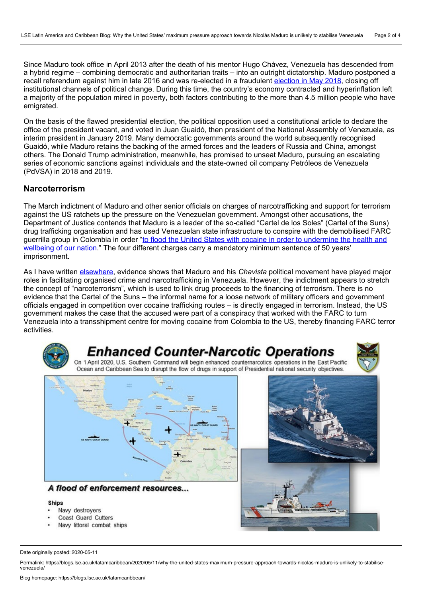Since Maduro took office in April 2013 after the death of his mentor Hugo Chávez, Venezuela has descended from a hybrid regime – combining democratic and authoritarian traits – into an outright dictatorship. Maduro postponed a recall referendum against him in late 2016 and was re-elected in a fraudulent [election](https://blogs.lse.ac.uk/latamcaribbean/2018/05/18/venezuela-elections-2018-evaluating-electoral-conditions-in-an-authoritarian-regime/) in May 2018, closing off institutional channels of political change. During this time, the country's economy contracted and hyperinflation left a majority of the population mired in poverty, both factors contributing to the more than 4.5 million people who have emigrated.

On the basis of the flawed presidential election, the political opposition used a constitutional article to declare the office of the president vacant, and voted in Juan Guaidó, then president of the National Assembly of Venezuela, as interim president in January 2019. Many democratic governments around the world subsequently recognised Guaidó, while Maduro retains the backing of the armed forces and the leaders of Russia and China, amongst others. The Donald Trump administration, meanwhile, has promised to unseat Maduro, pursuing an escalating series of economic sanctions against individuals and the state-owned oil company Petróleos de Venezuela (PdVSA) in 2018 and 2019.

#### **Narcoterrorism**

The March indictment of Maduro and other senior officials on charges of narcotrafficking and support for terrorism against the US ratchets up the pressure on the Venezuelan government. Amongst other accusations, the Department of Justice contends that Maduro is a leader of the so-called "Cartel de los Soles" (Cartel of the Suns) drug trafficking organisation and has used Venezuelan state infrastructure to conspire with the demobilised FARC guerrilla group in Colombia in order "to flood the United States with cocaine in order to [undermine](https://www.justice.gov/opa/pr/nicol-s-maduro-moros-and-14-current-and-former-venezuelan-officials-charged-narco-terrorism) the health and wellbeing of our nation." The four different charges carry a mandatory minimum sentence of 50 years' imprisonment.

As I have written [elsewhere,](https://www.researchgate.net/publication/331313327_Organized_Crime_and_the_State_in_Venezuela_under_Chavismo) evidence shows that Maduro and his *Chavista* political movement have played major roles in facilitating organised crime and narcotrafficking in Venezuela. However, the indictment appears to stretch the concept of "narcoterrorism", which is used to link drug proceeds to the financing of terrorism. There is no evidence that the Cartel of the Suns – the informal name for a loose network of military officers and government officials engaged in competition over cocaine trafficking routes – is directly engaged in terrorism. Instead, the US government makes the case that the accused were part of a conspiracy that worked with the FARC to turn Venezuela into a transshipment centre for moving cocaine from Colombia to the US, thereby financing FARC terror activities.



- Navy destroyers
- **Coast Guard Cutters**
- Navy littoral combat ships

Date originally posted: 2020-05-11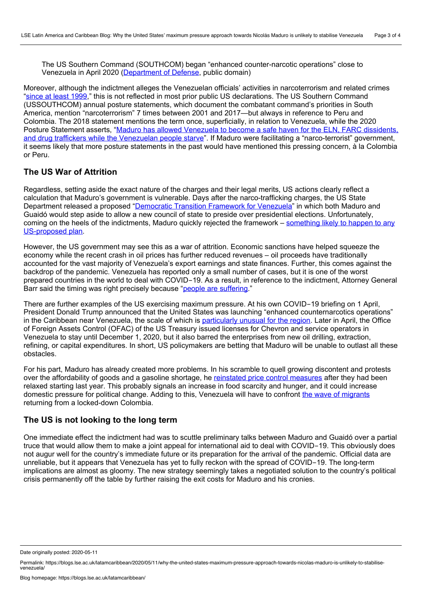The US Southern Command (SOUTHCOM) began "enhanced counter-narcotic operations" close to Venezuela in April 2020 [\(Department](https://www.southcom.mil/MEDIA/IMAGERY/igphoto/2002274765/) of Defense, public domain)

Moreover, although the indictment alleges the Venezuelan officials' activities in narcoterrorism and related crimes "[since](https://www.justice.gov/opa/pr/nicol-s-maduro-moros-and-14-current-and-former-venezuelan-officials-charged-narco-terrorism) at least 1999," this is not reflected in most prior public US declarations. The US Southern Command (USSOUTHCOM) annual posture statements, which document the combatant command's priorities in South America, mention "narcoterrorism" 7 times between 2001 and 2017—but always in reference to Peru and Colombia. The 2018 statement mentions the term once, superficially, in relation to Venezuela, while the 2020 Posture Statement asserts, "Maduro has allowed Venezuela to become a safe haven for the ELN, FARC dissidents, and drug traffickers while the Venezuelan people starve". If Maduro were facilitating a ["narco-terrorist"](https://www.southcom.mil/Portals/7/Documents/Posture%20Statements/SASC%20SOUTHCOM%20Posture%20Statement_FINAL.pdf?ver=2020-01-30-081357-560) government, it seems likely that more posture statements in the past would have mentioned this pressing concern, à la Colombia or Peru.

#### **The US War of Attrition**

Regardless, setting aside the exact nature of the charges and their legal merits, US actions clearly reflect a calculation that Maduro's government is vulnerable. Days after the narco-trafficking charges, the US State Department released a proposed "[Democratic](https://www.state.gov/democratic-transition-framework-for-venezuela/) Transition Framework for Venezuela" in which both Maduro and Guaidó would step aside to allow a new council of state to preside over presidential elections. Unfortunately, coming on the heels of the indictments, Maduro quickly rejected the framework – something likely to happen to any [US-proposed](https://www.caracaschronicles.com/2020/03/31/elliott-abrams-discovers-warm-water/) plan.

However, the US government may see this as a war of attrition. Economic sanctions have helped squeeze the economy while the recent crash in oil prices has further reduced revenues – oil proceeds have traditionally accounted for the vast majority of Venezuela's export earnings and state finances. Further, this comes against the backdrop of the pandemic. Venezuela has reported only a small number of cases, but it is one of the worst prepared countries in the world to deal with COVID-19. As a result, in reference to the indictment, Attorney General Barr said the timing was right precisely because "people are [suffering](https://www.washingtonpost.com/world/the_americas/the-united-states-indicts-venezuelas-maduro-on-narco-terrorism-charges/2020/03/26/a5a64122-6f68-11ea-a156-0048b62cdb51_story.html)."

There are further examples of the US exercising maximum pressure. At his own COVID-19 briefing on 1 April, President Donald Trump announced that the United States was launching "enhanced counternarcotics operations" in the Caribbean near Venezuela, the scale of which is [particularly](https://twitter.com/adam_wola/status/1245691350344925186) unusual for the region. Later in April, the Office of Foreign Assets Control (OFAC) of the US Treasury issued licenses for Chevron and service operators in Venezuela to stay until December 1, 2020, but it also barred the enterprises from new oil drilling, extraction, refining, or capital expenditures. In short, US policymakers are betting that Maduro will be unable to outlast all these obstacles.

For his part, Maduro has already created more problems. In his scramble to quell growing discontent and protests over the affordability of goods and a gasoline shortage, he reinstated price control [measures](https://www.reuters.com/article/venezuela-economy/venezuelas-maduro-warns-of-new-price-controls-as-inflation-spikes-idUSXXN2CB000) after they had been relaxed starting last year. This probably signals an increase in food scarcity and hunger, and it could increase domestic pressure for political change. Adding to this, Venezuela will have to confront the wave of [migrants](https://www.reuters.com/article/us-health-coronavirus-venezuela-migrants/venezuelan-migrants-quarantined-in-crowded-shelters-as-they-return-home-idUSKBN21P361) returning from a locked-down Colombia.

#### **The US is not looking to the long term**

One immediate effect the indictment had was to scuttle preliminary talks between Maduro and Guaidó over a partial truce that would allow them to make a joint appeal for international aid to deal with COVID-19. This obviously does not augur well for the country's immediate future or its preparation for the arrival of the pandemic. Official data are unreliable, but it appears that Venezuela has yet to fully reckon with the spread of COVID-19. The long-term implications are almost as gloomy. The new strategy seemingly takes a negotiated solution to the country's political crisis permanently off the table by further raising the exit costs for Maduro and his cronies.

Date originally posted: 2020-05-11

Permalink: https://blogs.lse.ac.uk/latamcaribbean/2020/05/11/why-the-united-states-maximum-pressure-approach-towards-nicolas-maduro-is-unlikely-to-stabilise-<br>venezuela/